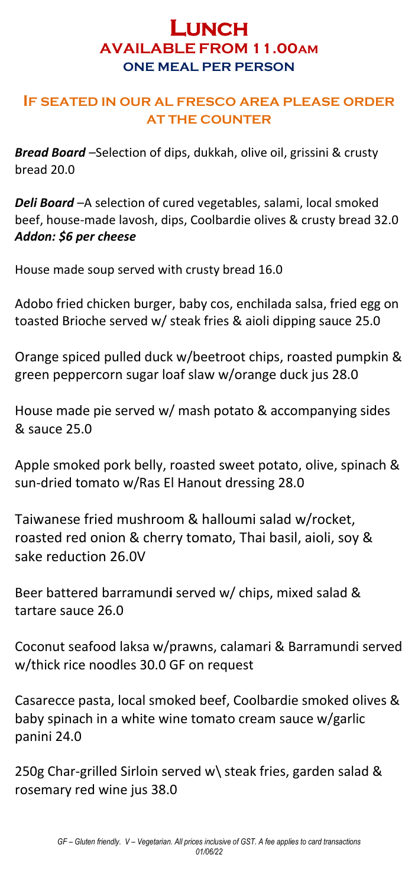# **LUNCH AVAILABLE FROM 11.00AM ONE MEAL PER PERSON**

#### **IF SEATED IN OUR AL FRESCO AREA PLEASE ORDER AT THE COUNTER**

*Bread Board –*Selection of dips, dukkah, olive oil, grissini & crusty bread 20.0

*Deli Board* –A selection of cured vegetables, salami, local smoked beef, house-made lavosh, dips, Coolbardie olives & crusty bread 32.0 *Addon: \$6 per cheese*

House made soup served with crusty bread 16.0

Adobo fried chicken burger, baby cos, enchilada salsa, fried egg on toasted Brioche served w/ steak fries & aioli dipping sauce 25.0

Orange spiced pulled duck w/beetroot chips, roasted pumpkin & green peppercorn sugar loaf slaw w/orange duck jus 28.0

House made pie served w/ mash potato & accompanying sides & sauce 25.0

Apple smoked pork belly, roasted sweet potato, olive, spinach & sun-dried tomato w/Ras El Hanout dressing 28.0

Taiwanese fried mushroom & halloumi salad w/rocket, roasted red onion & cherry tomato, Thai basil, aioli, soy & sake reduction 26.0V

Beer battered barramund**i** served w/ chips, mixed salad & tartare sauce 26.0

Coconut seafood laksa w/prawns, calamari & Barramundi served w/thick rice noodles 30.0 GF on request

Casarecce pasta, local smoked beef, Coolbardie smoked olives & baby spinach in a white wine tomato cream sauce w/garlic panini 24.0

250g Char-grilled Sirloin served w\ steak fries, garden salad & rosemary red wine jus 38.0